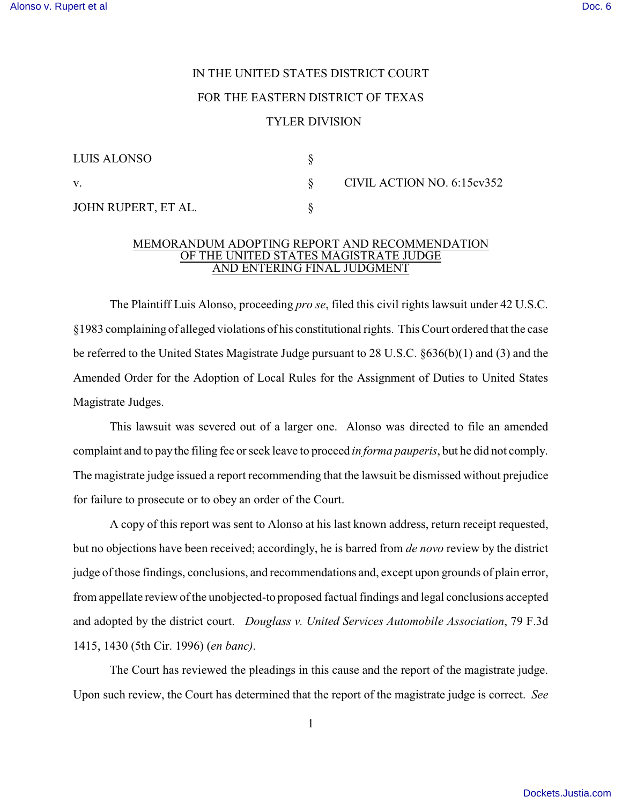## IN THE UNITED STATES DISTRICT COURT FOR THE EASTERN DISTRICT OF TEXAS TYLER DIVISION

| LUIS ALONSO         |  |
|---------------------|--|
| V                   |  |
| JOHN RUPERT, ET AL. |  |

v. § CIVIL ACTION NO. 6:15cv352

## MEMORANDUM ADOPTING REPORT AND RECOMMENDATION OF THE UNITED STATES MAGISTRATE JUDGE AND ENTERING FINAL JUDGMENT

The Plaintiff Luis Alonso, proceeding *pro se*, filed this civil rights lawsuit under 42 U.S.C. §1983 complaining of alleged violations of his constitutional rights. This Court ordered that the case be referred to the United States Magistrate Judge pursuant to 28 U.S.C. §636(b)(1) and (3) and the Amended Order for the Adoption of Local Rules for the Assignment of Duties to United States Magistrate Judges.

This lawsuit was severed out of a larger one. Alonso was directed to file an amended complaint and to pay the filing fee or seek leave to proceed *in forma pauperis*, but he did not comply. The magistrate judge issued a report recommending that the lawsuit be dismissed without prejudice for failure to prosecute or to obey an order of the Court.

A copy of this report was sent to Alonso at his last known address, return receipt requested, but no objections have been received; accordingly, he is barred from *de novo* review by the district judge of those findings, conclusions, and recommendations and, except upon grounds of plain error, from appellate review of the unobjected-to proposed factual findings and legal conclusions accepted and adopted by the district court. *Douglass v. United Services Automobile Association*, 79 F.3d 1415, 1430 (5th Cir. 1996) (*en banc)*.

The Court has reviewed the pleadings in this cause and the report of the magistrate judge. Upon such review, the Court has determined that the report of the magistrate judge is correct. *See*